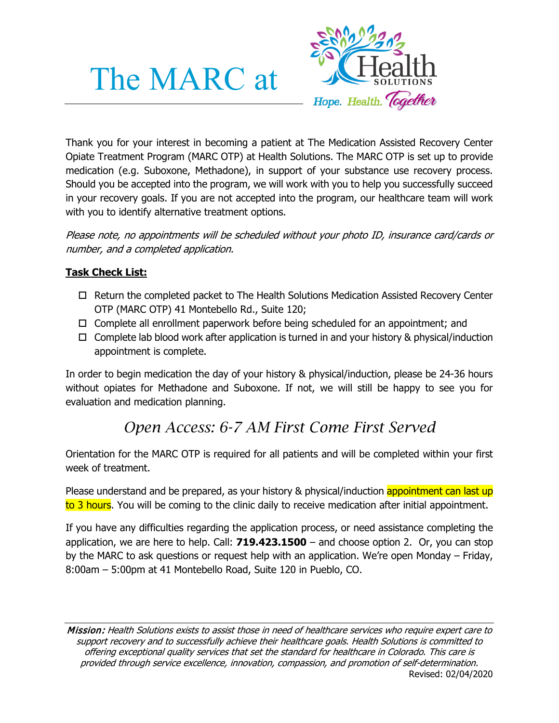# The MARC at



Thank you for your interest in becoming a patient at The Medication Assisted Recovery Center Opiate Treatment Program (MARC OTP) at Health Solutions. The MARC OTP is set up to provide medication (e.g. Suboxone, Methadone), in support of your substance use recovery process. Should you be accepted into the program, we will work with you to help you successfully succeed in your recovery goals. If you are not accepted into the program, our healthcare team will work with you to identify alternative treatment options.

Please note, no appointments will be scheduled without your photo ID, insurance card/cards or number, and a completed application.

## **Task Check List:**

- $\Box$  Return the completed packet to The Health Solutions Medication Assisted Recovery Center OTP (MARC OTP) 41 Montebello Rd., Suite 120;
- $\Box$  Complete all enrollment paperwork before being scheduled for an appointment; and
- $\Box$  Complete lab blood work after application is turned in and your history & physical/induction appointment is complete.

In order to begin medication the day of your history & physical/induction, please be 24-36 hours without opiates for Methadone and Suboxone. If not, we will still be happy to see you for evaluation and medication planning.

# *Open Access: 6-7 AM First Come First Served*

Orientation for the MARC OTP is required for all patients and will be completed within your first week of treatment.

Please understand and be prepared, as your history & physical/induction appointment can last up to 3 hours. You will be coming to the clinic daily to receive medication after initial appointment.

If you have any difficulties regarding the application process, or need assistance completing the application, we are here to help. Call: **719.423.1500** – and choose option 2. Or, you can stop by the MARC to ask questions or request help with an application. We're open Monday – Friday, 8:00am – 5:00pm at 41 Montebello Road, Suite 120 in Pueblo, CO.

Mission: Health Solutions exists to assist those in need of healthcare services who require expert care to support recovery and to successfully achieve their healthcare goals. Health Solutions is committed to offering exceptional quality services that set the standard for healthcare in Colorado. This care is provided through service excellence, innovation, compassion, and promotion of self-determination. Revised: 02/04/2020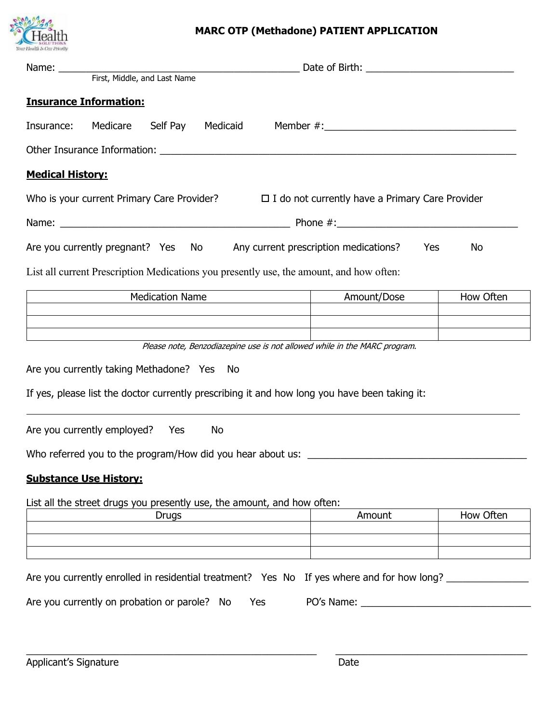

# **MARC OTP (Methadone) PATIENT APPLICATION**

| <b>Insurance Information:</b>                                                                     |                                                                           |           |
|---------------------------------------------------------------------------------------------------|---------------------------------------------------------------------------|-----------|
| Insurance: Medicare                                                                               | Self Pay Medicaid Member #: 2008 Member #: 2008                           |           |
|                                                                                                   |                                                                           |           |
| <b>Medical History:</b>                                                                           |                                                                           |           |
| Who is your current Primary Care Provider? $\Box$ I do not currently have a Primary Care Provider |                                                                           |           |
|                                                                                                   |                                                                           |           |
| Are you currently pregnant? Yes No Any current prescription medications?                          | Yes                                                                       | <b>No</b> |
| List all current Prescription Medications you presently use, the amount, and how often:           |                                                                           |           |
| <b>Medication Name</b>                                                                            | Amount/Dose                                                               | How Often |
|                                                                                                   |                                                                           |           |
|                                                                                                   | Please note, Benzodiazepine use is not allowed while in the MARC program. |           |
| Are you currently taking Methadone? Yes No                                                        |                                                                           |           |
|                                                                                                   |                                                                           |           |
| If yes, please list the doctor currently prescribing it and how long you have been taking it:     |                                                                           |           |
| Are you currently employed? Yes<br>No                                                             |                                                                           |           |
| Who referred you to the program/How did you hear about us: _____________________                  |                                                                           |           |
| <b>Substance Use History:</b>                                                                     |                                                                           |           |
| List all the street drugs you presently use, the amount, and how often:                           |                                                                           |           |
| <b>Drugs</b>                                                                                      | Amount                                                                    | How Often |
|                                                                                                   |                                                                           |           |
|                                                                                                   |                                                                           |           |
| Are you currently enrolled in residential treatment? Yes No If yes where and for how long?        |                                                                           |           |
| Are you currently on probation or parole? No<br>Yes                                               |                                                                           |           |
|                                                                                                   |                                                                           |           |
|                                                                                                   |                                                                           |           |

\_\_\_\_\_\_\_\_\_\_\_\_\_\_\_\_\_\_\_\_\_\_\_\_\_\_\_\_\_\_\_\_\_\_\_\_\_\_\_\_\_\_\_\_\_\_\_\_\_\_\_\_\_ \_\_\_\_\_\_\_\_\_\_\_\_\_\_\_\_\_\_\_\_\_\_\_\_\_\_\_\_\_\_\_\_\_\_\_